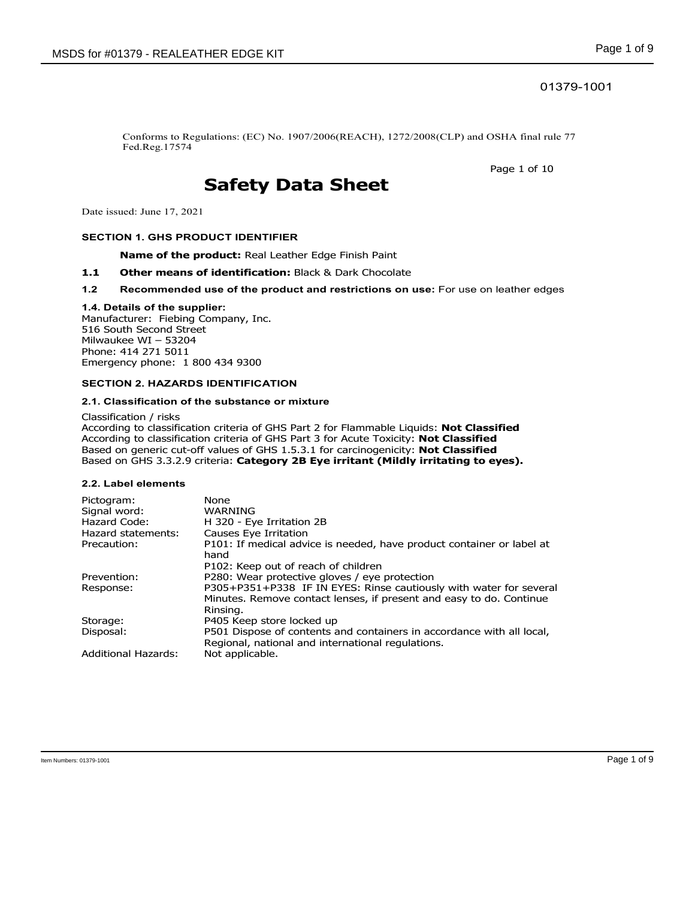## 01379-1001

Conforms to Regulations: (EC) No. 1907/2006(REACH), 1272/2008(CLP) and OSHA final rule 77 Fed.Reg.17574

Page 1 of 10

# **Safety Data Sheet**

Date issued: June 17, 2021

#### **SECTION 1. GHS PRODUCT IDENTIFIER**

**Name of the product:** Real Leather Edge Finish Paint

- 1.1 **Other means of identification:** Black & Dark Chocolate
- **1.2 Recommended use of the product and restrictions on use:** For use on leather edges

#### **1.4. Details of the supplier:**

Manufacturer: Fiebing Company, Inc. 516 South Second Street Milwaukee WI – 53204 Phone: 414 271 5011 Emergency phone: 1 800 434 9300

#### **SECTION 2. HAZARDS IDENTIFICATION**

#### **2.1. Classification of the substance or mixture**

Classification / risks According to classification criteria of GHS Part 2 for Flammable Liquids: **Not Classified** According to classification criteria of GHS Part 3 for Acute Toxicity: **Not Classified** Based on generic cut-off values of GHS 1.5.3.1 for carcinogenicity: **Not Classified** Based on GHS 3.3.2.9 criteria: **Category 2B Eye irritant (Mildly irritating to eyes).**

#### **2.2. Label elements**

| Pictogram:                 | None                                                                                                                                                  |
|----------------------------|-------------------------------------------------------------------------------------------------------------------------------------------------------|
| Signal word:               | WARNING                                                                                                                                               |
| Hazard Code:               | H 320 - Eye Irritation 2B                                                                                                                             |
| Hazard statements:         | Causes Eye Irritation                                                                                                                                 |
| Precaution:                | P101: If medical advice is needed, have product container or label at<br>hand                                                                         |
|                            | P102: Keep out of reach of children                                                                                                                   |
| Prevention:                | P280: Wear protective gloves / eye protection                                                                                                         |
| Response:                  | P305+P351+P338 IF IN EYES: Rinse cautiously with water for several<br>Minutes. Remove contact lenses, if present and easy to do. Continue<br>Rinsing. |
| Storage:                   | P405 Keep store locked up                                                                                                                             |
| Disposal:                  | P501 Dispose of contents and containers in accordance with all local,<br>Regional, national and international regulations.                            |
| <b>Additional Hazards:</b> | Not applicable.                                                                                                                                       |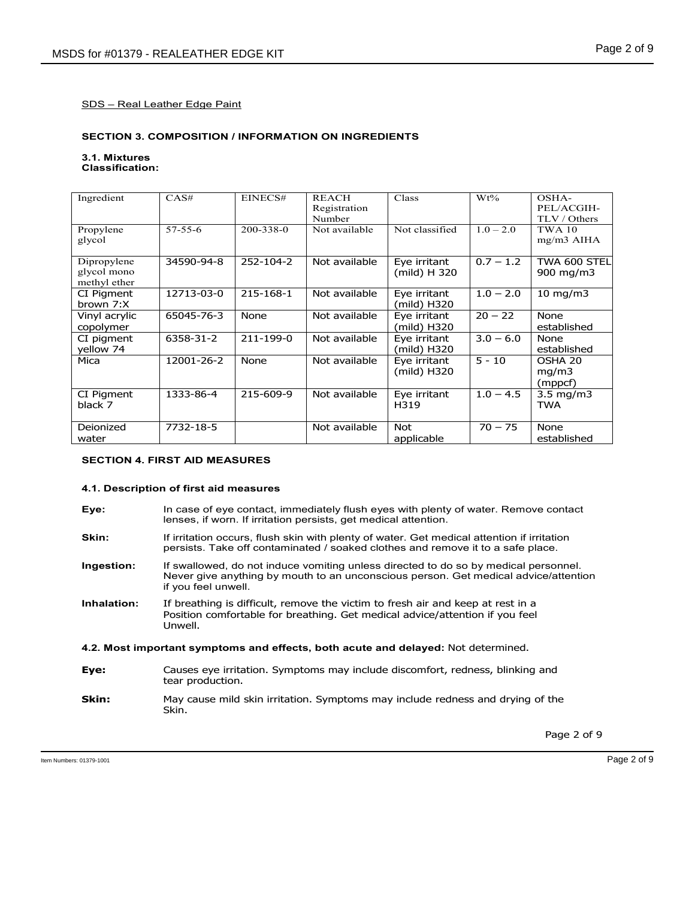#### **SECTION 3. COMPOSITION / INFORMATION ON INGREDIENTS**

#### **3.1. Mixtures Classification:**

| Ingredient                                 | CAS#          | EINECS#   | <b>REACH</b><br>Registration<br>Number | Class                        | $Wt\%$      | OSHA-<br>PEL/ACGIH-<br>TLV / Others |
|--------------------------------------------|---------------|-----------|----------------------------------------|------------------------------|-------------|-------------------------------------|
| Propylene<br>glycol                        | $57 - 55 - 6$ | 200-338-0 | Not available                          | Not classified               | $1.0 - 2.0$ | <b>TWA 10</b><br>$mg/m3$ AIHA       |
| Dipropylene<br>glycol mono<br>methyl ether | 34590-94-8    | 252-104-2 | Not available                          | Eye irritant<br>(mild) H 320 | $0.7 - 1.2$ | TWA 600 STEL<br>900 mg/m3           |
| CI Pigment<br>brown 7:X                    | 12713-03-0    | 215-168-1 | Not available                          | Eye irritant<br>(mild) H320  | $1.0 - 2.0$ | 10 mg/m $3$                         |
| Vinyl acrylic<br>copolymer                 | 65045-76-3    | None      | Not available                          | Eye irritant<br>(mild) H320  | $20 - 22$   | None<br>established                 |
| CI pigment<br>yellow 74                    | 6358-31-2     | 211-199-0 | Not available                          | Eye irritant<br>(mild) H320  | $3.0 - 6.0$ | None<br>established                 |
| Mica                                       | 12001-26-2    | None      | Not available                          | Eye irritant<br>(mild) H320  | $5 - 10$    | OSHA 20<br>mq/m3<br>(mppcf)         |
| CI Pigment<br>black 7                      | 1333-86-4     | 215-609-9 | Not available                          | Eye irritant<br>H319         | $1.0 - 4.5$ | $3.5 \text{ mg/m}$<br><b>TWA</b>    |
| Deionized<br>water                         | 7732-18-5     |           | Not available                          | <b>Not</b><br>applicable     | $70 - 75$   | None<br>established                 |

#### **SECTION 4. FIRST AID MEASURES**

#### **4.1. Description of first aid measures**

**Eye:** In case of eye contact, immediately flush eyes with plenty of water. Remove contact lenses, if worn. If irritation persists, get medical attention. **Skin:** If irritation occurs, flush skin with plenty of water. Get medical attention if irritation persists. Take off contaminated / soaked clothes and remove it to a safe place. **Ingestion:** If swallowed, do not induce vomiting unless directed to do so by medical personnel. Never give anything by mouth to an unconscious person. Get medical advice/attention if you feel unwell. **Inhalation:** If breathing is difficult, remove the victim to fresh air and keep at rest in a Position comfortable for breathing. Get medical advice/attention if you feel Unwell. **4.2. Most important symptoms and effects, both acute and delayed:** Not determined. **Eye:** Causes eye irritation. Symptoms may include discomfort, redness, blinking and tear production. **Skin:** May cause mild skin irritation. Symptoms may include redness and drying of the Skin.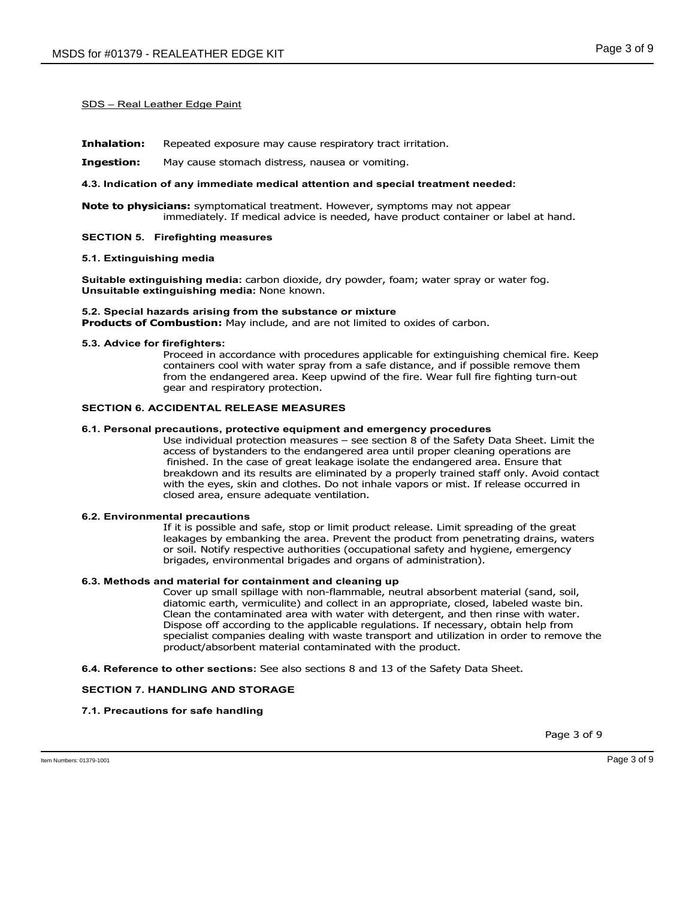**Inhalation:** Repeated exposure may cause respiratory tract irritation.

**Ingestion:** May cause stomach distress, nausea or vomiting.

#### **4.3. Indication of any immediate medical attention and special treatment needed:**

**Note to physicians:** symptomatical treatment. However, symptoms may not appear immediately. If medical advice is needed, have product container or label at hand.

#### **SECTION 5. Firefighting measures**

#### **5.1. Extinguishing media**

**Suitable extinguishing media:** carbon dioxide, dry powder, foam; water spray or water fog. **Unsuitable extinguishing media:** None known.

#### **5.2. Special hazards arising from the substance or mixture Products of Combustion:** May include, and are not limited to oxides of carbon.

#### **5.3. Advice for firefighters:**

Proceed in accordance with procedures applicable for extinguishing chemical fire. Keep containers cool with water spray from a safe distance, and if possible remove them from the endangered area. Keep upwind of the fire. Wear full fire fighting turn-out gear and respiratory protection.

#### **SECTION 6. ACCIDENTAL RELEASE MEASURES**

#### **6.1. Personal precautions, protective equipment and emergency procedures**

Use individual protection measures – see section 8 of the Safety Data Sheet. Limit the access of bystanders to the endangered area until proper cleaning operations are finished. In the case of great leakage isolate the endangered area. Ensure that breakdown and its results are eliminated by a properly trained staff only. Avoid contact with the eyes, skin and clothes. Do not inhale vapors or mist. If release occurred in closed area, ensure adequate ventilation.

#### **6.2. Environmental precautions**

If it is possible and safe, stop or limit product release. Limit spreading of the great leakages by embanking the area. Prevent the product from penetrating drains, waters or soil. Notify respective authorities (occupational safety and hygiene, emergency brigades, environmental brigades and organs of administration).

#### **6.3. Methods and material for containment and cleaning up**

Cover up small spillage with non-flammable, neutral absorbent material (sand, soil, diatomic earth, vermiculite) and collect in an appropriate, closed, labeled waste bin. Clean the contaminated area with water with detergent, and then rinse with water. Dispose off according to the applicable regulations. If necessary, obtain help from specialist companies dealing with waste transport and utilization in order to remove the product/absorbent material contaminated with the product.

**6.4. Reference to other sections:** See also sections 8 and 13 of the Safety Data Sheet.

#### **SECTION 7. HANDLING AND STORAGE**

#### **7.1. Precautions for safe handling**

Page 3 of 9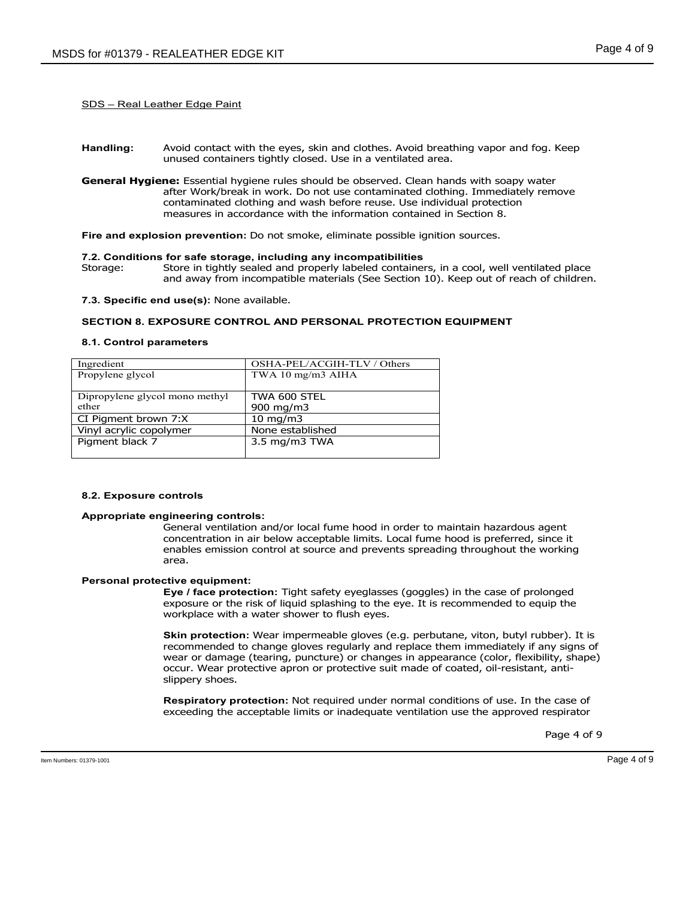- **Handling:** Avoid contact with the eyes, skin and clothes. Avoid breathing vapor and fog. Keep unused containers tightly closed. Use in a ventilated area.
- **General Hygiene:** Essential hygiene rules should be observed. Clean hands with soapy water after Work/break in work. Do not use contaminated clothing. Immediately remove contaminated clothing and wash before reuse. Use individual protection measures in accordance with the information contained in Section 8.

**Fire and explosion prevention:** Do not smoke, eliminate possible ignition sources.

#### **7.2. Conditions for safe storage, including any incompatibilities**

Storage: Store in tightly sealed and properly labeled containers, in a cool, well ventilated place and away from incompatible materials (See Section 10). Keep out of reach of children.

**7.3. Specific end use(s):** None available.

#### **SECTION 8. EXPOSURE CONTROL AND PERSONAL PROTECTION EQUIPMENT**

#### **8.1. Control parameters**

| Ingredient                     | OSHA-PEL/ACGIH-TLV / Others        |
|--------------------------------|------------------------------------|
| Propylene glycol               | TWA 10 mg/m3 AIHA                  |
|                                |                                    |
| Dipropylene glycol mono methyl | TWA 600 STEL                       |
| ether                          | 900 mg/m3                          |
| CI Pigment brown 7:X           | $10 \text{ mg/m}$                  |
| Vinyl acrylic copolymer        | None established                   |
| Pigment black 7                | $3.5 \text{ mg/m}$ $3 \text{ TWA}$ |
|                                |                                    |

#### **8.2. Exposure controls**

#### **Appropriate engineering controls:**

General ventilation and/or local fume hood in order to maintain hazardous agent concentration in air below acceptable limits. Local fume hood is preferred, since it enables emission control at source and prevents spreading throughout the working area.

#### **Personal protective equipment:**

**Eye / face protection:** Tight safety eyeglasses (goggles) in the case of prolonged exposure or the risk of liquid splashing to the eye. It is recommended to equip the workplace with a water shower to flush eyes.

**Skin protection:** Wear impermeable gloves (e.g. perbutane, viton, butyl rubber). It is recommended to change gloves regularly and replace them immediately if any signs of wear or damage (tearing, puncture) or changes in appearance (color, flexibility, shape) occur. Wear protective apron or protective suit made of coated, oil-resistant, antislippery shoes.

**Respiratory protection:** Not required under normal conditions of use. In the case of exceeding the acceptable limits or inadequate ventilation use the approved respirator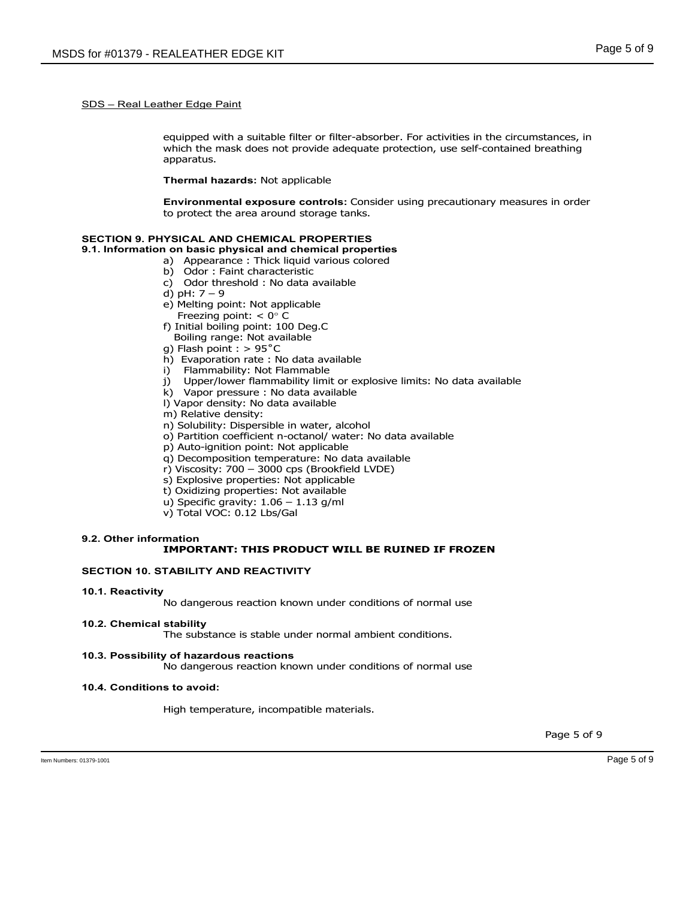equipped with a suitable filter or filter-absorber. For activities in the circumstances, in which the mask does not provide adequate protection, use self-contained breathing apparatus.

#### **Thermal hazards:** Not applicable

**Environmental exposure controls:** Consider using precautionary measures in order to protect the area around storage tanks.

## **SECTION 9. PHYSICAL AND CHEMICAL PROPERTIES**

**9.1. Information on basic physical and chemical properties** 

- a) Appearance : Thick liquid various colored
- b) Odor : Faint characteristic
- c) Odor threshold : No data available
- d) pH: 7 9
- e) Melting point: Not applicable
- Freezing point:  $< 0^\circ$  C
- f) Initial boiling point: 100 Deg.C
- Boiling range: Not available
- g) Flash point : > 95˚C
- h) Evaporation rate : No data available
- i) Flammability: Not Flammable
- j) Upper/lower flammability limit or explosive limits: No data available
- k) Vapor pressure : No data available
- l) Vapor density: No data available
- m) Relative density:
- n) Solubility: Dispersible in water, alcohol
- o) Partition coefficient n-octanol/ water: No data available
- p) Auto-ignition point: Not applicable
- q) Decomposition temperature: No data available
- r) Viscosity: 700 3000 cps (Brookfield LVDE)
- s) Explosive properties: Not applicable
- t) Oxidizing properties: Not available
- u) Specific gravity:  $1.06 1.13$  g/ml
- v) Total VOC: 0.12 Lbs/Gal

## **9.2. Other information**

## **IMPORTANT: THIS PRODUCT WILL BE RUINED IF FROZEN**

#### **SECTION 10. STABILITY AND REACTIVITY**

#### **10.1. Reactivity**

No dangerous reaction known under conditions of normal use

#### **10.2. Chemical stability**

The substance is stable under normal ambient conditions.

## **10.3. Possibility of hazardous reactions**

No dangerous reaction known under conditions of normal use

## **10.4. Conditions to avoid:**

High temperature, incompatible materials.

Page 5 of 9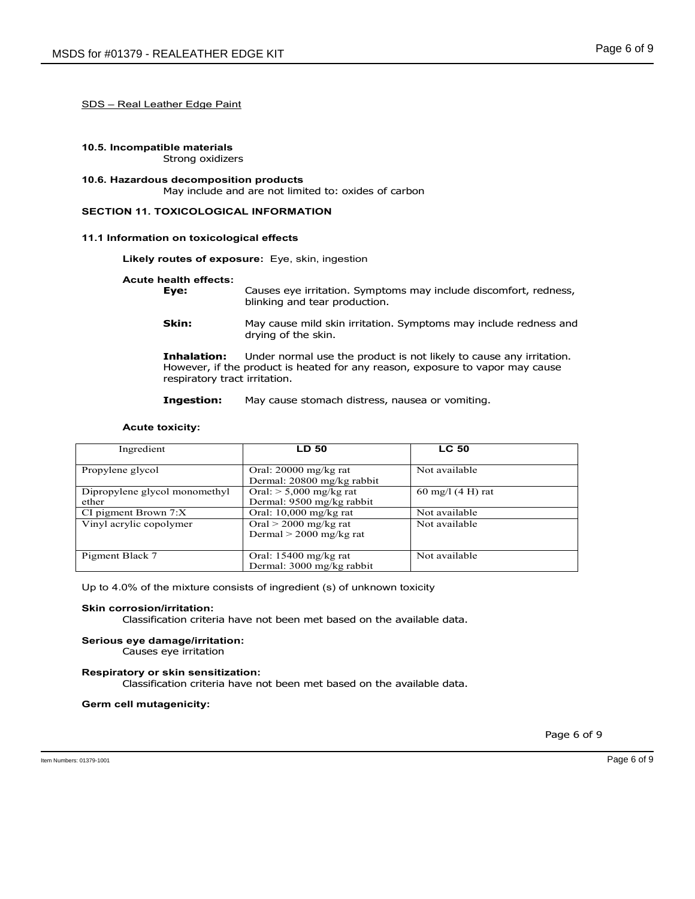#### **10.5. Incompatible materials**  Strong oxidizers

## **10.6. Hazardous decomposition products**

May include and are not limited to: oxides of carbon

## **SECTION 11. TOXICOLOGICAL INFORMATION**

## **11.1 Information on toxicological effects**

**Likely routes of exposure:** Eye, skin, ingestion

# **Acute health effects:**

| Eye: | Causes eye irritation. Symptoms may include discomfort, redness, |
|------|------------------------------------------------------------------|
|      | blinking and tear production.                                    |

**Skin:** May cause mild skin irritation. Symptoms may include redness and drying of the skin.

**Inhalation:** Under normal use the product is not likely to cause any irritation. However, if the product is heated for any reason, exposure to vapor may cause respiratory tract irritation.

**Ingestion:** May cause stomach distress, nausea or vomiting.

#### **Acute toxicity:**

| Ingredient                             | <b>LD 50</b>                                           | <b>LC 50</b>        |
|----------------------------------------|--------------------------------------------------------|---------------------|
| Propylene glycol                       | Oral: $20000$ mg/kg rat<br>Dermal: 20800 mg/kg rabbit  | Not available       |
| Dipropylene glycol monomethyl<br>ether | Oral: $> 5,000$ mg/kg rat<br>Dermal: 9500 mg/kg rabbit | 60 mg/l $(4 H)$ rat |
| CI pigment Brown $7:X$                 | Oral: $10,000$ mg/kg rat                               | Not available       |
| Vinyl acrylic copolymer                | Oral $>$ 2000 mg/kg rat<br>Dermal $>$ 2000 mg/kg rat   | Not available       |
| Pigment Black 7                        | Oral: $15400$ mg/kg rat<br>Dermal: 3000 mg/kg rabbit   | Not available       |

Up to 4.0% of the mixture consists of ingredient (s) of unknown toxicity

#### **Skin corrosion/irritation:**

Classification criteria have not been met based on the available data.

## **Serious eye damage/irritation:**

Causes eye irritation

## **Respiratory or skin sensitization:**

Classification criteria have not been met based on the available data.

#### **Germ cell mutagenicity:**

Page 6 of 9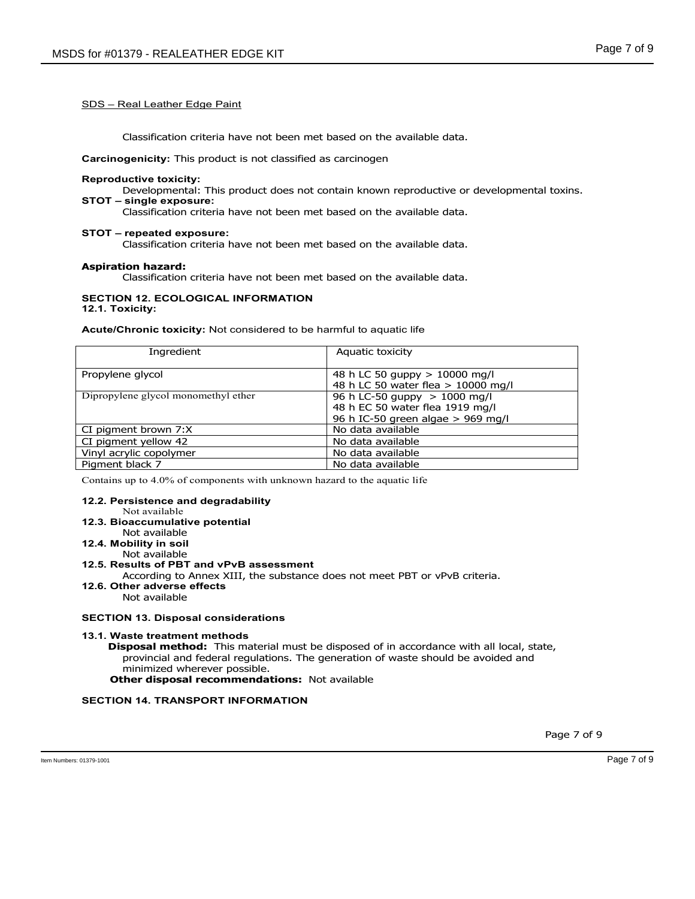Classification criteria have not been met based on the available data.

**Carcinogenicity:** This product is not classified as carcinogen

#### **Reproductive toxicity:**

Developmental: This product does not contain known reproductive or developmental toxins.

## **STOT – single exposure:**

Classification criteria have not been met based on the available data.

#### **STOT – repeated exposure:**

Classification criteria have not been met based on the available data.

#### **Aspiration hazard:**

Classification criteria have not been met based on the available data.

## **SECTION 12. ECOLOGICAL INFORMATION**

**12.1. Toxicity:** 

**Acute/Chronic toxicity:** Not considered to be harmful to aquatic life

| Ingredient                          | Aquatic toxicity                                                                                       |
|-------------------------------------|--------------------------------------------------------------------------------------------------------|
| Propylene glycol                    | 48 h LC 50 guppy > 10000 mg/l<br>48 h LC 50 water flea > 10000 mg/l                                    |
| Dipropylene glycol monomethyl ether | 96 h LC-50 guppy $> 1000$ mg/l<br>48 h EC 50 water flea 1919 mg/l<br>96 h IC-50 green algae > 969 mg/l |
| CI pigment brown 7:X                | No data available                                                                                      |
| CI pigment yellow 42                | No data available                                                                                      |
| Vinyl acrylic copolymer             | No data available                                                                                      |
| Pigment black 7                     | No data available                                                                                      |

Contains up to 4.0% of components with unknown hazard to the aquatic life

#### **12.2. Persistence and degradability**

Not available

#### **12.3. Bioaccumulative potential**

Not available

**12.4. Mobility in soil** 

#### Not available **12.5. Results of PBT and vPvB assessment**

According to Annex XIII, the substance does not meet PBT or vPvB criteria.

## **12.6. Other adverse effects**

Not available

#### **SECTION 13. Disposal considerations**

#### **13.1. Waste treatment methods**

 **Disposal method:** This material must be disposed of in accordance with all local, state, provincial and federal regulations. The generation of waste should be avoided and minimized wherever possible.

**Other disposal recommendations:** Not available

#### **SECTION 14. TRANSPORT INFORMATION**

Page 7 of 9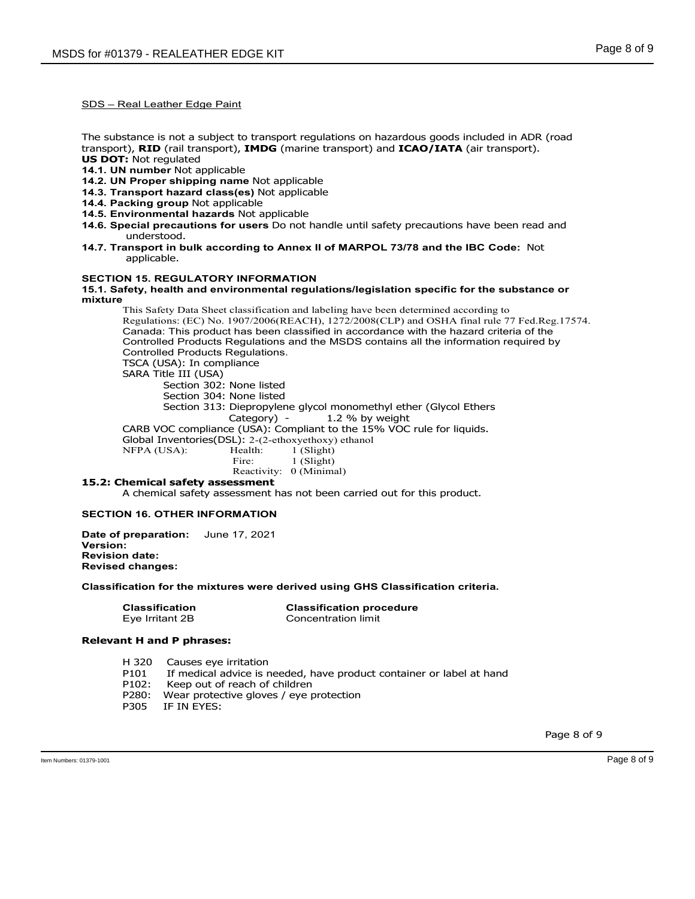The substance is not a subject to transport regulations on hazardous goods included in ADR (road transport), **RID** (rail transport), **IMDG** (marine transport) and **ICAO/IATA** (air transport). **US DOT:** Not regulated

- **14.1. UN number** Not applicable
- **14.2. UN Proper shipping name** Not applicable
- **14.3. Transport hazard class(es)** Not applicable
- **14.4. Packing group** Not applicable
- **14.5. Environmental hazards** Not applicable
- **14.6. Special precautions for users** Do not handle until safety precautions have been read and understood.
- **14.7. Transport in bulk according to Annex II of MARPOL 73/78 and the IBC Code:** Not applicable.

#### **SECTION 15. REGULATORY INFORMATION**

**15.1. Safety, health and environmental regulations/legislation specific for the substance or mixture** 

This Safety Data Sheet classification and labeling have been determined according to Regulations: (EC) No. 1907/2006(REACH), 1272/2008(CLP) and OSHA final rule 77 Fed.Reg.17574. Canada: This product has been classified in accordance with the hazard criteria of the Controlled Products Regulations and the MSDS contains all the information required by Controlled Products Regulations. TSCA (USA): In compliance SARA Title III (USA) Section 302: None listed Section 304: None listed Section 313: Diepropylene glycol monomethyl ether (Glycol Ethers Category) - 1.2 % by weight

CARB VOC compliance (USA): Compliant to the 15% VOC rule for liquids.

- Global Inventories(DSL): 2-(2-ethoxyethoxy) ethanol<br>NFPA (USA): Health: 1 (Slight)
- NFPA (USA): Health:<br>Fire:

1 (Slight) Reactivity: 0 (Minimal)

## **15.2: Chemical safety assessment**

A chemical safety assessment has not been carried out for this product.

#### **SECTION 16. OTHER INFORMATION**

**Date of preparation:** June 17, 2021 **Version: Revision date: Revised changes:**

#### **Classification for the mixtures were derived using GHS Classification criteria.**

 **Classification Classification procedure**  Concentration limit

#### **Relevant H and P phrases:**

- H 320 Causes eye irritation
- P101 If medical advice is needed, have product container or label at hand
- P102: Keep out of reach of children
- P280: Wear protective gloves / eye protection
- P305 IF IN EYES:

Page 8 of 9